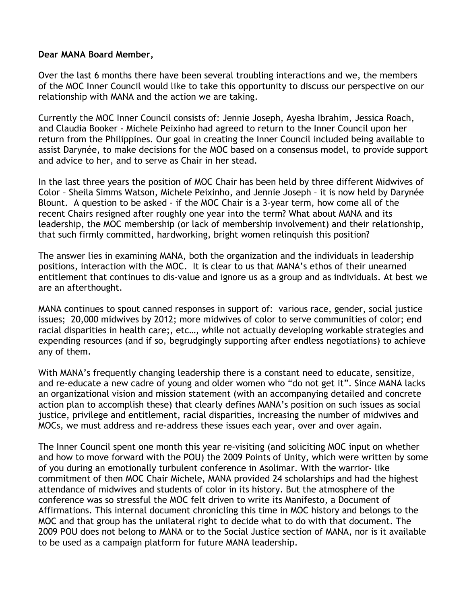## **Dear MANA Board Member,**

Over the last 6 months there have been several troubling interactions and we, the members of the MOC Inner Council would like to take this opportunity to discuss our perspective on our relationship with MANA and the action we are taking.

Currently the MOC Inner Council consists of: Jennie Joseph, Ayesha Ibrahim, Jessica Roach, and Claudia Booker - Michele Peixinho had agreed to return to the Inner Council upon her return from the Philippines. Our goal in creating the Inner Council included being available to assist Darynée, to make decisions for the MOC based on a consensus model, to provide support and advice to her, and to serve as Chair in her stead.

In the last three years the position of MOC Chair has been held by three different Midwives of Color – Sheila Simms Watson, Michele Peixinho, and Jennie Joseph – it is now held by Darynée Blount. A question to be asked - if the MOC Chair is a 3-year term, how come all of the recent Chairs resigned after roughly one year into the term? What about MANA and its leadership, the MOC membership (or lack of membership involvement) and their relationship, that such firmly committed, hardworking, bright women relinquish this position?

The answer lies in examining MANA, both the organization and the individuals in leadership positions, interaction with the MOC. It is clear to us that MANA's ethos of their unearned entitlement that continues to dis-value and ignore us as a group and as individuals. At best we are an afterthought.

MANA continues to spout canned responses in support of: various race, gender, social justice issues; 20,000 midwives by 2012; more midwives of color to serve communities of color; end racial disparities in health care;, etc…, while not actually developing workable strategies and expending resources (and if so, begrudgingly supporting after endless negotiations) to achieve any of them.

With MANA's frequently changing leadership there is a constant need to educate, sensitize, and re-educate a new cadre of young and older women who "do not get it". Since MANA lacks an organizational vision and mission statement (with an accompanying detailed and concrete action plan to accomplish these) that clearly defines MANA's position on such issues as social justice, privilege and entitlement, racial disparities, increasing the number of midwives and MOCs, we must address and re-address these issues each year, over and over again.

The Inner Council spent one month this year re-visiting (and soliciting MOC input on whether and how to move forward with the POU) the 2009 Points of Unity, which were written by some of you during an emotionally turbulent conference in Asolimar. With the warrior- like commitment of then MOC Chair Michele, MANA provided 24 scholarships and had the highest attendance of midwives and students of color in its history. But the atmosphere of the conference was so stressful the MOC felt driven to write its Manifesto, a Document of Affirmations. This internal document chronicling this time in MOC history and belongs to the MOC and that group has the unilateral right to decide what to do with that document. The 2009 POU does not belong to MANA or to the Social Justice section of MANA, nor is it available to be used as a campaign platform for future MANA leadership.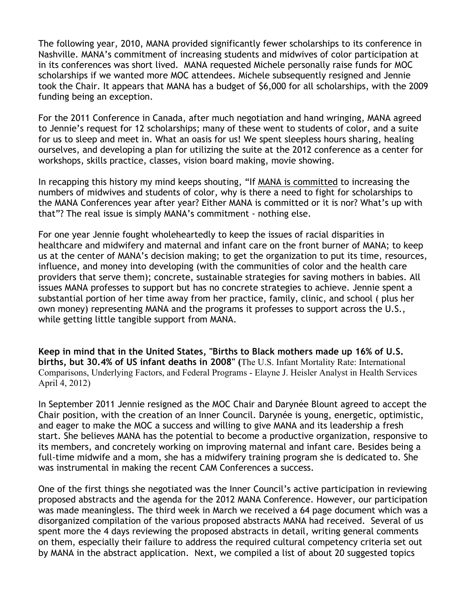The following year, 2010, MANA provided significantly fewer scholarships to its conference in Nashville. MANA's commitment of increasing students and midwives of color participation at in its conferences was short lived. MANA requested Michele personally raise funds for MOC scholarships if we wanted more MOC attendees. Michele subsequently resigned and Jennie took the Chair. It appears that MANA has a budget of \$6,000 for all scholarships, with the 2009 funding being an exception.

For the 2011 Conference in Canada, after much negotiation and hand wringing, MANA agreed to Jennie's request for 12 scholarships; many of these went to students of color, and a suite for us to sleep and meet in. What an oasis for us! We spent sleepless hours sharing, healing ourselves, and developing a plan for utilizing the suite at the 2012 conference as a center for workshops, skills practice, classes, vision board making, movie showing.

In recapping this history my mind keeps shouting, "If MANA is committed to increasing the numbers of midwives and students of color, why is there a need to fight for scholarships to the MANA Conferences year after year? Either MANA is committed or it is nor? What's up with that"? The real issue is simply MANA's commitment - nothing else.

For one year Jennie fought wholeheartedly to keep the issues of racial disparities in healthcare and midwifery and maternal and infant care on the front burner of MANA; to keep us at the center of MANA's decision making; to get the organization to put its time, resources, influence, and money into developing (with the communities of color and the health care providers that serve them); concrete, sustainable strategies for saving mothers in babies. All issues MANA professes to support but has no concrete strategies to achieve. Jennie spent a substantial portion of her time away from her practice, family, clinic, and school ( plus her own money) representing MANA and the programs it professes to support across the U.S., while getting little tangible support from MANA.

**Keep in mind that in the United States, "Births to Black mothers made up 16% of U.S. births, but 30.4% of US infant deaths in 2008" (**The U.S. Infant Mortality Rate: International Comparisons, Underlying Factors, and Federal Programs - Elayne J. Heisler Analyst in Health Services April 4, 2012)

In September 2011 Jennie resigned as the MOC Chair and Darynée Blount agreed to accept the Chair position, with the creation of an Inner Council. Darynée is young, energetic, optimistic, and eager to make the MOC a success and willing to give MANA and its leadership a fresh start. She believes MANA has the potential to become a productive organization, responsive to its members, and concretely working on improving maternal and infant care. Besides being a full-time midwife and a mom, she has a midwifery training program she is dedicated to. She was instrumental in making the recent CAM Conferences a success.

One of the first things she negotiated was the Inner Council's active participation in reviewing proposed abstracts and the agenda for the 2012 MANA Conference. However, our participation was made meaningless. The third week in March we received a 64 page document which was a disorganized compilation of the various proposed abstracts MANA had received. Several of us spent more the 4 days reviewing the proposed abstracts in detail, writing general comments on them, especially their failure to address the required cultural competency criteria set out by MANA in the abstract application. Next, we compiled a list of about 20 suggested topics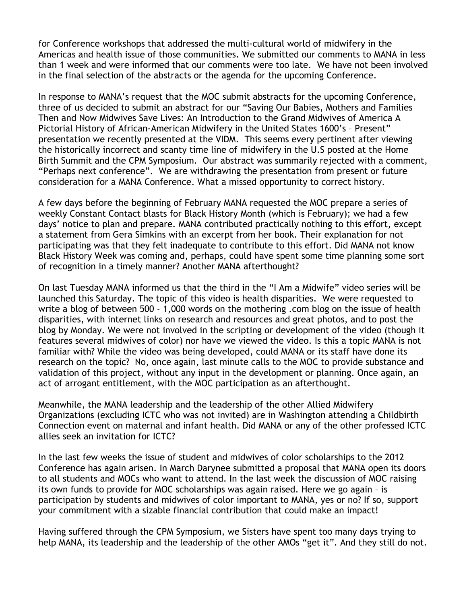for Conference workshops that addressed the multi-cultural world of midwifery in the Americas and health issue of those communities. We submitted our comments to MANA in less than 1 week and were informed that our comments were too late. We have not been involved in the final selection of the abstracts or the agenda for the upcoming Conference.

In response to MANA's request that the MOC submit abstracts for the upcoming Conference, three of us decided to submit an abstract for our "Saving Our Babies, Mothers and Families Then and Now Midwives Save Lives: An Introduction to the Grand Midwives of America A Pictorial History of African-American Midwifery in the United States 1600's – Present" presentation we recently presented at the VIDM. This seems every pertinent after viewing the historically incorrect and scanty time line of midwifery in the U.S posted at the Home Birth Summit and the CPM Symposium. Our abstract was summarily rejected with a comment, "Perhaps next conference". We are withdrawing the presentation from present or future consideration for a MANA Conference. What a missed opportunity to correct history.

A few days before the beginning of February MANA requested the MOC prepare a series of weekly Constant Contact blasts for Black History Month (which is February); we had a few days' notice to plan and prepare. MANA contributed practically nothing to this effort, except a statement from Gera Simkins with an excerpt from her book. Their explanation for not participating was that they felt inadequate to contribute to this effort. Did MANA not know Black History Week was coming and, perhaps, could have spent some time planning some sort of recognition in a timely manner? Another MANA afterthought?

On last Tuesday MANA informed us that the third in the "I Am a Midwife" video series will be launched this Saturday. The topic of this video is health disparities. We were requested to write a blog of between 500 - 1,000 words on the mothering .com blog on the issue of health disparities, with internet links on research and resources and great photos, and to post the blog by Monday. We were not involved in the scripting or development of the video (though it features several midwives of color) nor have we viewed the video. Is this a topic MANA is not familiar with? While the video was being developed, could MANA or its staff have done its research on the topic? No, once again, last minute calls to the MOC to provide substance and validation of this project, without any input in the development or planning. Once again, an act of arrogant entitlement, with the MOC participation as an afterthought.

Meanwhile, the MANA leadership and the leadership of the other Allied Midwifery Organizations (excluding ICTC who was not invited) are in Washington attending a Childbirth Connection event on maternal and infant health. Did MANA or any of the other professed ICTC allies seek an invitation for ICTC?

In the last few weeks the issue of student and midwives of color scholarships to the 2012 Conference has again arisen. In March Darynee submitted a proposal that MANA open its doors to all students and MOCs who want to attend. In the last week the discussion of MOC raising its own funds to provide for MOC scholarships was again raised. Here we go again – is participation by students and midwives of color important to MANA, yes or no? If so, support your commitment with a sizable financial contribution that could make an impact!

Having suffered through the CPM Symposium, we Sisters have spent too many days trying to help MANA, its leadership and the leadership of the other AMOs "get it". And they still do not.